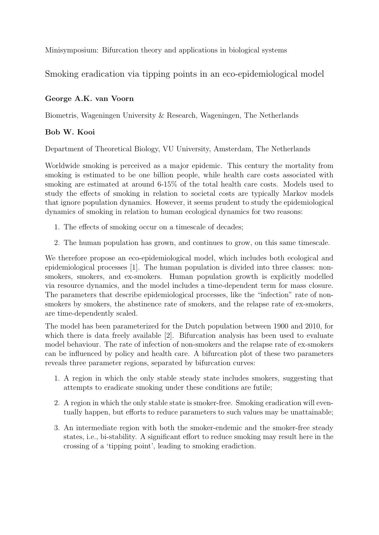Minisymposium: Bifurcation theory and applications in biological systems

Smoking eradication via tipping points in an eco-epidemiological model

## George A.K. van Voorn

Biometris, Wageningen University & Research, Wageningen, The Netherlands

## Bob W. Kooi

Department of Theoretical Biology, VU University, Amsterdam, The Netherlands

Worldwide smoking is perceived as a major epidemic. This century the mortality from smoking is estimated to be one billion people, while health care costs associated with smoking are estimated at around 6-15% of the total health care costs. Models used to study the effects of smoking in relation to societal costs are typically Markov models that ignore population dynamics. However, it seems prudent to study the epidemiological dynamics of smoking in relation to human ecological dynamics for two reasons:

- 1. The effects of smoking occur on a timescale of decades;
- 2. The human population has grown, and continues to grow, on this same timescale.

We therefore propose an eco-epidemiological model, which includes both ecological and epidemiological processes [1]. The human population is divided into three classes: nonsmokers, smokers, and ex-smokers. Human population growth is explicitly modelled via resource dynamics, and the model includes a time-dependent term for mass closure. The parameters that describe epidemiological processes, like the "infection" rate of nonsmokers by smokers, the abstinence rate of smokers, and the relapse rate of ex-smokers, are time-dependently scaled.

The model has been parameterized for the Dutch population between 1900 and 2010, for which there is data freely available [2]. Bifurcation analysis has been used to evaluate model behaviour. The rate of infection of non-smokers and the relapse rate of ex-smokers can be influenced by policy and health care. A bifurcation plot of these two parameters reveals three parameter regions, separated by bifurcation curves:

- 1. A region in which the only stable steady state includes smokers, suggesting that attempts to eradicate smoking under these conditions are futile;
- 2. A region in which the only stable state is smoker-free. Smoking eradication will eventually happen, but efforts to reduce parameters to such values may be unattainable;
- 3. An intermediate region with both the smoker-endemic and the smoker-free steady states, i.e., bi-stability. A significant effort to reduce smoking may result here in the crossing of a 'tipping point', leading to smoking eradiction.